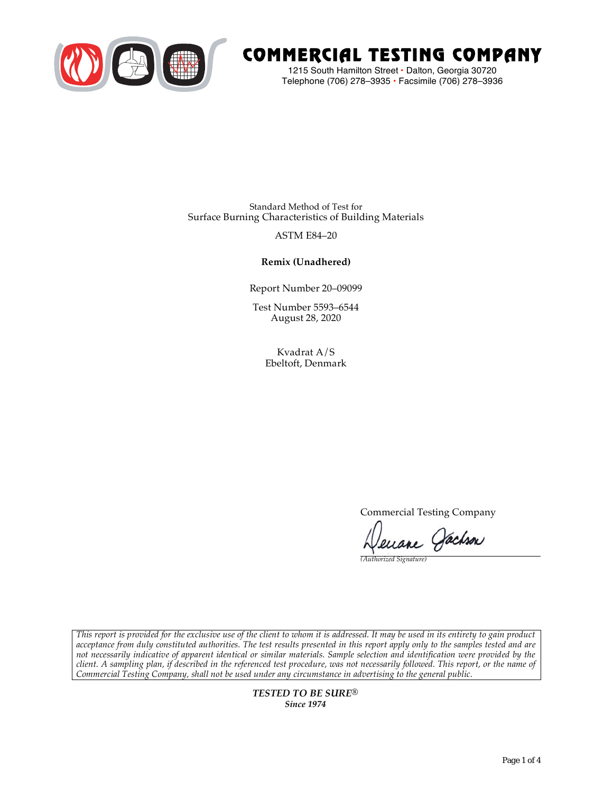

# COMMERCIAL TESTING COMPANY

1215 South Hamilton Street • Dalton, Georgia 30720 Telephone (706) 278–3935 **•** Facsimile (706) 278–3936

Standard Method of Test for Surface Burning Characteristics of Building Materials

## ASTM E84–20

## **Remix (Unadhered)**

Report Number 20–09099

Test Number 5593–6544 August 28, 2020

> Kvadrat A/S Ebeltoft, Denmark

> > Commercial Testing Company

Jenane Jachson

*(Authorized Signature)* 

*This report is provided for the exclusive use of the client to whom it is addressed. It may be used in its entirety to gain product acceptance from duly constituted authorities. The test results presented in this report apply only to the samples tested and are not necessarily indicative of apparent identical or similar materials. Sample selection and identification were provided by the client. A sampling plan, if described in the referenced test procedure, was not necessarily followed. This report, or the name of Commercial Testing Company, shall not be used under any circumstance in advertising to the general public.* 

> *TESTED TO BE SURE® Since 1974*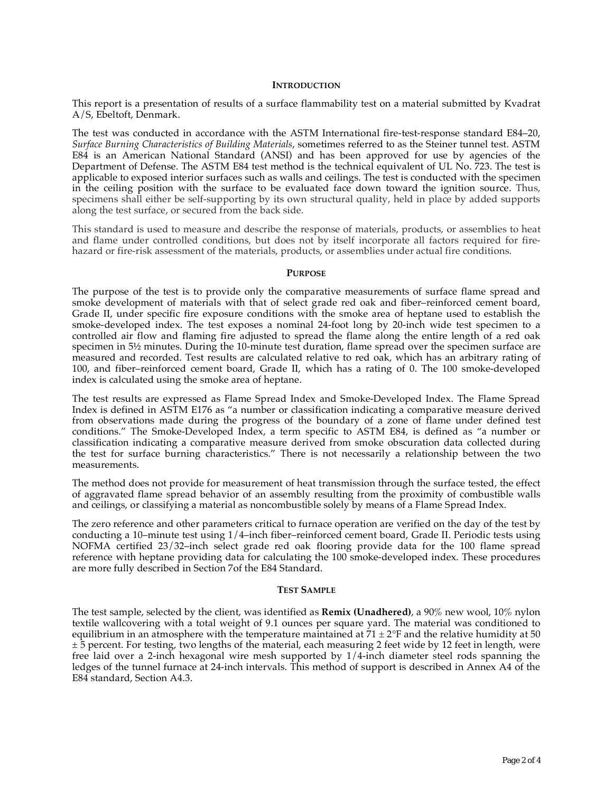#### **INTRODUCTION**

This report is a presentation of results of a surface flammability test on a material submitted by Kvadrat A/S, Ebeltoft, Denmark.

The test was conducted in accordance with the ASTM International fire-test-response standard E84–20, *Surface Burning Characteristics of Building Materials*, sometimes referred to as the Steiner tunnel test. ASTM E84 is an American National Standard (ANSI) and has been approved for use by agencies of the Department of Defense. The ASTM E84 test method is the technical equivalent of UL No. 723. The test is applicable to exposed interior surfaces such as walls and ceilings. The test is conducted with the specimen in the ceiling position with the surface to be evaluated face down toward the ignition source. Thus, specimens shall either be self-supporting by its own structural quality, held in place by added supports along the test surface, or secured from the back side.

This standard is used to measure and describe the response of materials, products, or assemblies to heat and flame under controlled conditions, but does not by itself incorporate all factors required for firehazard or fire-risk assessment of the materials, products, or assemblies under actual fire conditions.

#### **PURPOSE**

The purpose of the test is to provide only the comparative measurements of surface flame spread and smoke development of materials with that of select grade red oak and fiber–reinforced cement board, Grade II, under specific fire exposure conditions with the smoke area of heptane used to establish the smoke-developed index. The test exposes a nominal 24-foot long by 20-inch wide test specimen to a controlled air flow and flaming fire adjusted to spread the flame along the entire length of a red oak specimen in  $5\frac{1}{2}$  minutes. During the 10-minute test duration, flame spread over the specimen surface are measured and recorded. Test results are calculated relative to red oak, which has an arbitrary rating of 100, and fiber–reinforced cement board, Grade II, which has a rating of 0. The 100 smoke-developed index is calculated using the smoke area of heptane.

The test results are expressed as Flame Spread Index and Smoke-Developed Index. The Flame Spread Index is defined in ASTM E176 as "a number or classification indicating a comparative measure derived from observations made during the progress of the boundary of a zone of flame under defined test conditions." The Smoke-Developed Index, a term specific to ASTM E84, is defined as "a number or classification indicating a comparative measure derived from smoke obscuration data collected during the test for surface burning characteristics." There is not necessarily a relationship between the two measurements.

The method does not provide for measurement of heat transmission through the surface tested, the effect of aggravated flame spread behavior of an assembly resulting from the proximity of combustible walls and ceilings, or classifying a material as noncombustible solely by means of a Flame Spread Index.

The zero reference and other parameters critical to furnace operation are verified on the day of the test by conducting a 10–minute test using 1/4–inch fiber–reinforced cement board, Grade II. Periodic tests using NOFMA certified 23/32–inch select grade red oak flooring provide data for the 100 flame spread reference with heptane providing data for calculating the 100 smoke-developed index. These procedures are more fully described in Section 7of the E84 Standard.

#### **TEST SAMPLE**

The test sample, selected by the client, was identified as **Remix (Unadhered)**, a 90% new wool, 10% nylon textile wallcovering with a total weight of 9.1 ounces per square yard. The material was conditioned to equilibrium in an atmosphere with the temperature maintained at  $71 \pm 2$ °F and the relative humidity at 50 ± 5 percent. For testing, two lengths of the material, each measuring 2 feet wide by 12 feet in length, were free laid over a 2-inch hexagonal wire mesh supported by 1/4-inch diameter steel rods spanning the ledges of the tunnel furnace at 24-inch intervals. This method of support is described in Annex A4 of the E84 standard, Section A4.3.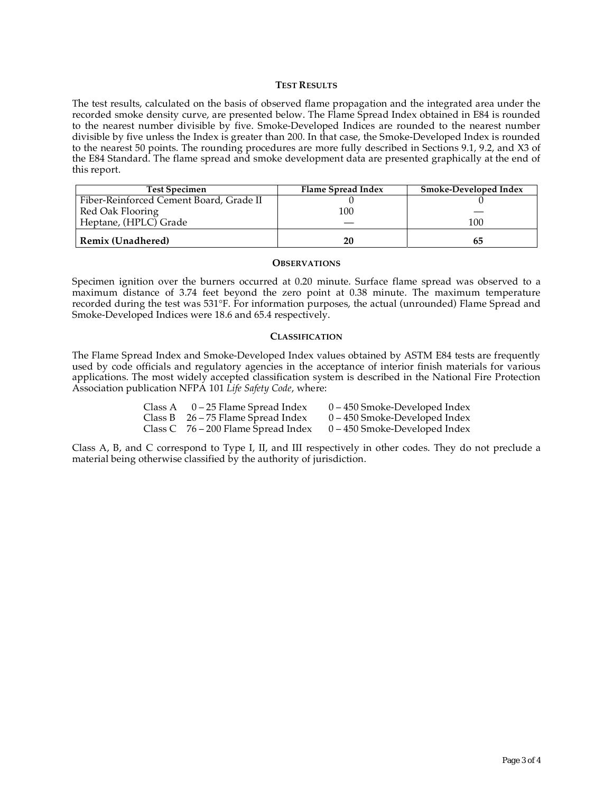#### **TEST RESULTS**

The test results, calculated on the basis of observed flame propagation and the integrated area under the recorded smoke density curve, are presented below. The Flame Spread Index obtained in E84 is rounded to the nearest number divisible by five. Smoke-Developed Indices are rounded to the nearest number divisible by five unless the Index is greater than 200. In that case, the Smoke-Developed Index is rounded to the nearest 50 points. The rounding procedures are more fully described in Sections 9.1, 9.2, and X3 of the E84 Standard. The flame spread and smoke development data are presented graphically at the end of this report.

| <b>Test Specimen</b>                    | Flame Spread Index | Smoke-Developed Index |
|-----------------------------------------|--------------------|-----------------------|
| Fiber-Reinforced Cement Board, Grade II |                    |                       |
| Red Oak Flooring                        | 100                |                       |
| Heptane, (HPLC) Grade                   |                    | 100                   |
| <b>Remix (Unadhered)</b>                | 20                 | რე                    |

#### **OBSERVATIONS**

Specimen ignition over the burners occurred at 0.20 minute. Surface flame spread was observed to a maximum distance of 3.74 feet beyond the zero point at 0.38 minute. The maximum temperature recorded during the test was 531°F. For information purposes, the actual (unrounded) Flame Spread and Smoke-Developed Indices were 18.6 and 65.4 respectively.

#### **CLASSIFICATION**

The Flame Spread Index and Smoke-Developed Index values obtained by ASTM E84 tests are frequently used by code officials and regulatory agencies in the acceptance of interior finish materials for various applications. The most widely accepted classification system is described in the National Fire Protection Association publication NFPA 101 *Life Safety Code*, where:

| Class A $0-25$ Flame Spread Index     | $0 - 450$ Smoke-Developed Index |
|---------------------------------------|---------------------------------|
| Class B $26 - 75$ Flame Spread Index  | $0 - 450$ Smoke-Developed Index |
| Class C $76 - 200$ Flame Spread Index | $0 - 450$ Smoke-Developed Index |

Class A, B, and C correspond to Type I, II, and III respectively in other codes. They do not preclude a material being otherwise classified by the authority of jurisdiction.